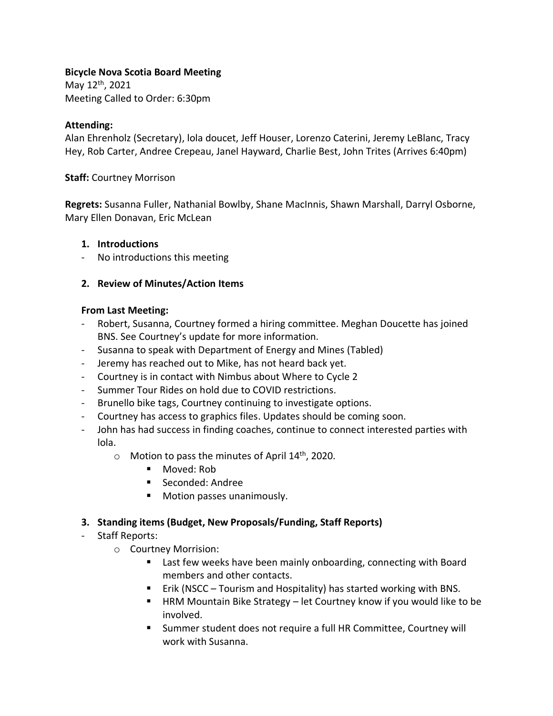#### **Bicycle Nova Scotia Board Meeting**

May 12th, 2021 Meeting Called to Order: 6:30pm

#### **Attending:**

Alan Ehrenholz (Secretary), lola doucet, Jeff Houser, Lorenzo Caterini, Jeremy LeBlanc, Tracy Hey, Rob Carter, Andree Crepeau, Janel Hayward, Charlie Best, John Trites (Arrives 6:40pm)

#### **Staff:** Courtney Morrison

**Regrets:** Susanna Fuller, Nathanial Bowlby, Shane MacInnis, Shawn Marshall, Darryl Osborne, Mary Ellen Donavan, Eric McLean

#### **1. Introductions**

- No introductions this meeting

## **2. Review of Minutes/Action Items**

#### **From Last Meeting:**

- Robert, Susanna, Courtney formed a hiring committee. Meghan Doucette has joined BNS. See Courtney's update for more information.
- Susanna to speak with Department of Energy and Mines (Tabled)
- Jeremy has reached out to Mike, has not heard back yet.
- Courtney is in contact with Nimbus about Where to Cycle 2
- Summer Tour Rides on hold due to COVID restrictions.
- Brunello bike tags, Courtney continuing to investigate options.
- Courtney has access to graphics files. Updates should be coming soon.
- John has had success in finding coaches, continue to connect interested parties with lola.
	- $\circ$  Motion to pass the minutes of April 14<sup>th</sup>, 2020.
		- Moved: Rob
		- Seconded: Andree
		- Motion passes unanimously.

## **3. Standing items (Budget, New Proposals/Funding, Staff Reports)**

## - Staff Reports:

- o Courtney Morrision:
	- Last few weeks have been mainly onboarding, connecting with Board members and other contacts.
	- Erik (NSCC Tourism and Hospitality) has started working with BNS.
	- HRM Mountain Bike Strategy let Courtney know if you would like to be involved.
	- Summer student does not require a full HR Committee, Courtney will work with Susanna.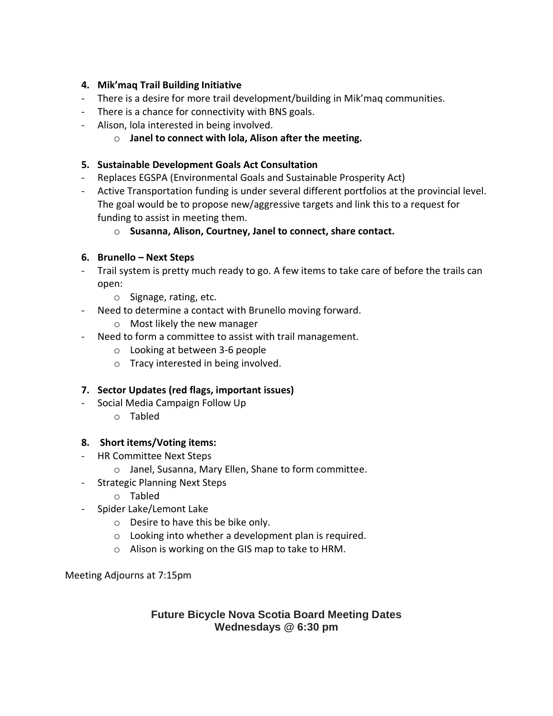# **4. Mik'maq Trail Building Initiative**

- There is a desire for more trail development/building in Mik'maq communities.
- There is a chance for connectivity with BNS goals.
- Alison, lola interested in being involved.
	- o **Janel to connect with lola, Alison after the meeting.**

# **5. Sustainable Development Goals Act Consultation**

- Replaces EGSPA (Environmental Goals and Sustainable Prosperity Act)
- Active Transportation funding is under several different portfolios at the provincial level. The goal would be to propose new/aggressive targets and link this to a request for funding to assist in meeting them.
	- o **Susanna, Alison, Courtney, Janel to connect, share contact.**

# **6. Brunello – Next Steps**

- Trail system is pretty much ready to go. A few items to take care of before the trails can open:
	- o Signage, rating, etc.
- Need to determine a contact with Brunello moving forward.
	- o Most likely the new manager
- Need to form a committee to assist with trail management.
	- o Looking at between 3-6 people
	- o Tracy interested in being involved.

## **7. Sector Updates (red flags, important issues)**

- Social Media Campaign Follow Up
	- o Tabled

## **8. Short items/Voting items:**

- HR Committee Next Steps
	- o Janel, Susanna, Mary Ellen, Shane to form committee.
- Strategic Planning Next Steps
	- o Tabled
- Spider Lake/Lemont Lake
	- o Desire to have this be bike only.
	- o Looking into whether a development plan is required.
	- o Alison is working on the GIS map to take to HRM.

Meeting Adjourns at 7:15pm

# **Future Bicycle Nova Scotia Board Meeting Dates Wednesdays @ 6:30 pm**